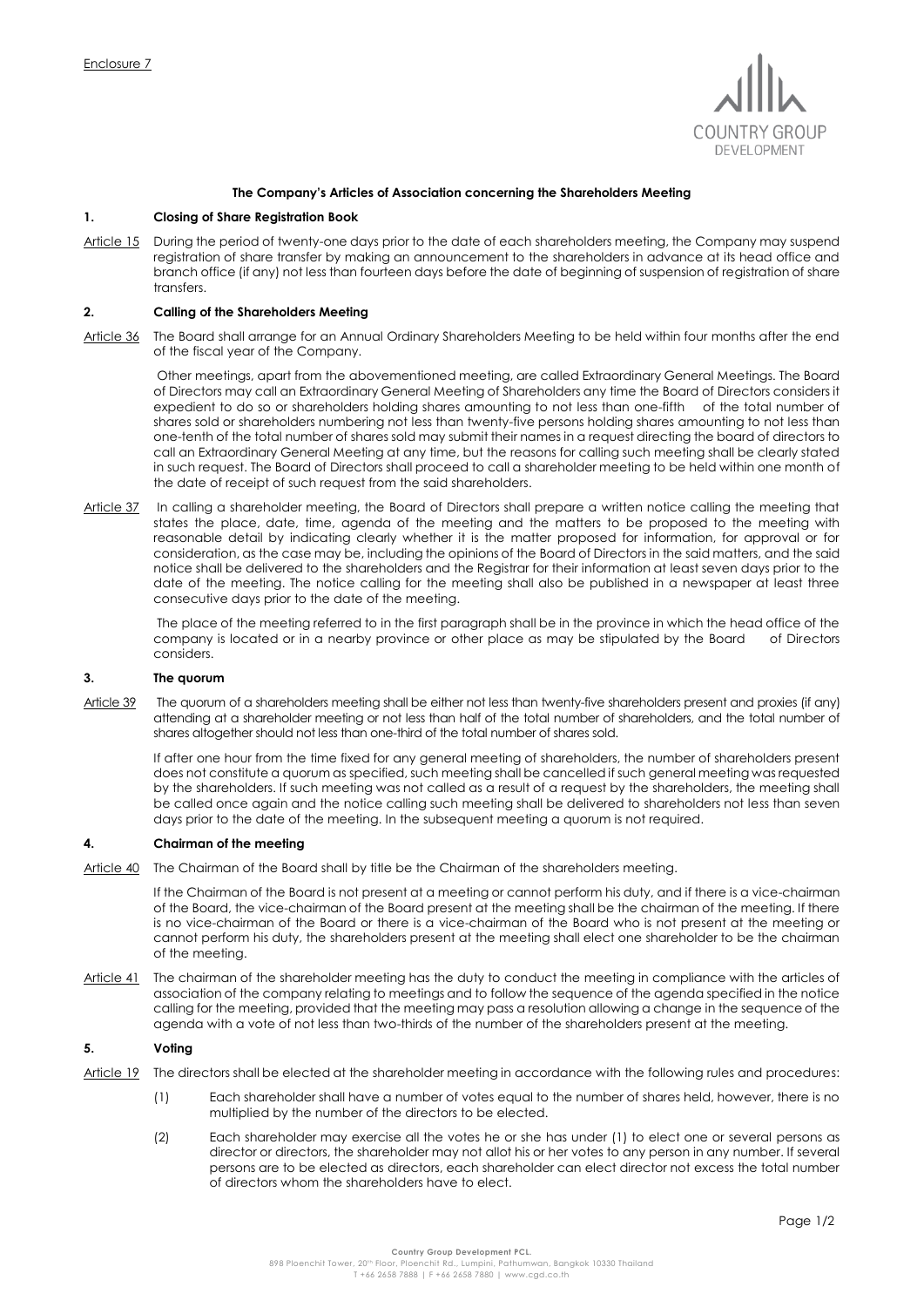

### **The Company's Articles of Association concerning the Shareholders Meeting**

# **1. Closing of Share Registration Book**

Article 15 During the period of twenty-one days prior to the date of each shareholders meeting, the Company may suspend registration of share transfer by making an announcement to the shareholders in advance at its head office and branch office (if any) not less than fourteen days before the date of beginning of suspension of registration of share transfers.

# **2. Calling of the Shareholders Meeting**

Article 36 The Board shall arrange for an Annual Ordinary Shareholders Meeting to be held within four months after the end of the fiscal year of the Company.

Other meetings, apart from the abovementioned meeting, are called Extraordinary General Meetings. The Board of Directors may call an Extraordinary General Meeting of Shareholders any time the Board of Directors considers it expedient to do so or shareholders holding shares amounting to not less than one-fifth of the total number of shares sold or shareholders numbering not less than twenty-five persons holding shares amounting to not less than one-tenth of the total number of shares sold may submit their names in a request directing the board of directors to call an Extraordinary General Meeting at any time, but the reasons for calling such meeting shall be clearly stated in such request. The Board of Directors shall proceed to call a shareholder meeting to be held within one month of the date of receipt of such request from the said shareholders.

Article 37 In calling a shareholder meeting, the Board of Directors shall prepare a written notice calling the meeting that states the place, date, time, agenda of the meeting and the matters to be proposed to the meeting with reasonable detail by indicating clearly whether it is the matter proposed for information, for approval or for consideration, as the case may be, including the opinions of the Board of Directors in the said matters, and the said notice shall be delivered to the shareholders and the Registrar for their information at least seven days prior to the date of the meeting. The notice calling for the meeting shall also be published in a newspaper at least three consecutive days prior to the date of the meeting.

The place of the meeting referred to in the first paragraph shall be in the province in which the head office of the company is located or in a nearby province or other place as may be stipulated by the Board of Directors considers.

### **3. The quorum**

Article 39 The quorum of a shareholders meeting shall be either not less than twenty-five shareholders present and proxies (if any) attending at a shareholder meeting or not less than half of the total number of shareholders, and the total number of shares altogether should not less than one-third of the total number of shares sold.

If after one hour from the time fixed for any general meeting of shareholders, the number of shareholders present does not constitute a quorum as specified, such meeting shall be cancelled if such general meeting was requested by the shareholders. If such meeting was not called as a result of a request by the shareholders, the meeting shall be called once again and the notice calling such meeting shall be delivered to shareholders not less than seven days prior to the date of the meeting. In the subsequent meeting a quorum is not required.

#### **4. Chairman of the meeting**

Article 40 The Chairman of the Board shall by title be the Chairman of the shareholders meeting.

If the Chairman of the Board is not present at a meeting or cannot perform his duty, and if there is a vice-chairman of the Board, the vice-chairman of the Board present at the meeting shall be the chairman of the meeting. If there is no vice-chairman of the Board or there is a vice-chairman of the Board who is not present at the meeting or cannot perform his duty, the shareholders present at the meeting shall elect one shareholder to be the chairman of the meeting.

Article 41 The chairman of the shareholder meeting has the duty to conduct the meeting in compliance with the articles of association of the company relating to meetings and to follow the sequence of the agenda specified in the notice calling for the meeting, provided that the meeting may pass a resolution allowing a change in the sequence of the agenda with a vote of not less than two-thirds of the number of the shareholders present at the meeting.

#### **5. Voting**

- Article 19 The directors shall be elected at the shareholder meeting in accordance with the following rules and procedures:
	- (1) Each shareholder shall have a number of votes equal to the number of shares held, however, there is no multiplied by the number of the directors to be elected.
	- (2) Each shareholder may exercise all the votes he or she has under (1) to elect one or several persons as director or directors, the shareholder may not allot his or her votes to any person in any number. If several persons are to be elected as directors, each shareholder can elect director not excess the total number of directors whom the shareholders have to elect.